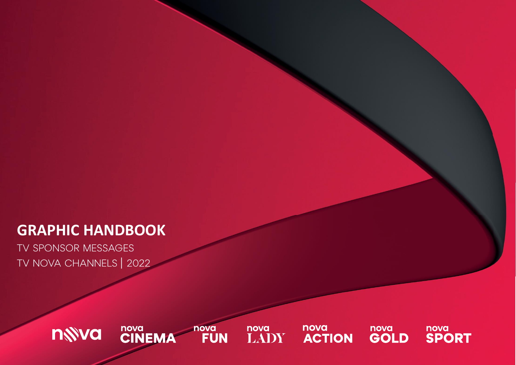# **GRAPHIC HANDBOOK**

TV SPONSOR MESSAGES TV NOVA CHANNELS | 2022

> nova<br>**FUN** nova<br>CINEMA nova<br>LADY nova<br>**SPORT** nova nova nwva **ACTION GOLD**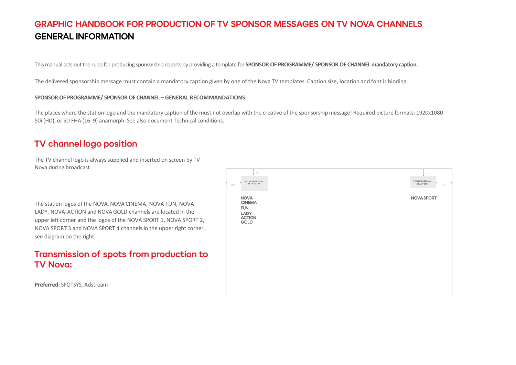# **GRAPHIC HANDBOOK FOR PRODUCTION OF TV SPONSOR MESSAGES ON TV NOVA CHANNELS GENERAL INFORMATION**

This manual sets out the rules for producing sponsorship reports by providing a template for **SPONSOR OF PROGRAMME/ SPONSOR OF CHANNEL mandatory caption.** 

The delivered sponsorship message must contain a mandatory caption given by one of the Nova TV templates. Caption size, location and font is binding.

### **SPONSOR OF PROGRAMME/ SPONSOR OF CHANNEL – GENERAL RECOMMANDATIONS:**

The places where the station logo and the mandatory caption of the must not overlap with the creative of the sponsorship message! Required picture formats: 1920x1080 50i (HD), or SD FHA (16: 9) anamorph. See also document Technical conditions.

# TV channel logo position

The TV channel logo is always supplied and inserted on screen by TV Nova during broadcast.

The station logos of the NOVA, NOVA CINEMA, NOVA FUN, NOVA LADY, NOVA ACTION and NOVA GOLD channels are located in the upper left corner and the logos of the NOVA SPORT 1, NOVA SPORT 2, NOVA SPORT 3 and NOVA SPORT 4 channels in the upper right corner, see diagram on the right.

# Transmission of spots from production to **TV Nova:**

**Preferred:** SPOTSYS, Adstream

| 63px<br>OCHRANNÁZÓNA<br>232 X 133px<br>127px                                                        | 64px<br>OCHRANNÁZÓNA<br>219 X 98px | 134 px |
|-----------------------------------------------------------------------------------------------------|------------------------------------|--------|
| <b>NOVA</b><br><b>CINEMA</b><br><b>FUN</b><br>LADY<br><b>ACTION</b><br>$\ensuremath{\mathsf{GOLD}}$ | <b>NOVA SPORT</b>                  |        |
|                                                                                                     |                                    |        |
|                                                                                                     |                                    |        |
|                                                                                                     |                                    |        |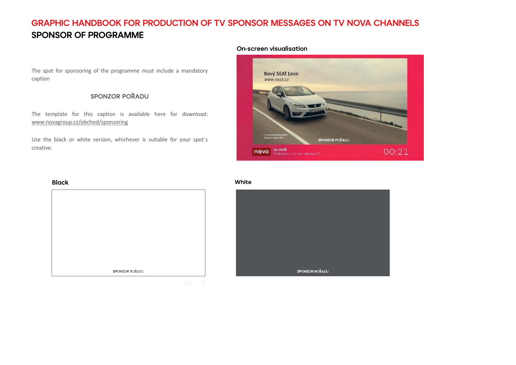# GRAPHIC HANDBOOK FOR PRODUCTION OF TV SPONSOR MESSAGES ON TV NOVA CHANNELS **SPONSOR OF PROGRAMME**

The spot for sponsoring of the programme must include a mandatory caption

### **SPONZOR POŘADU**

The template for this caption is available here for download: [www.novagroup.cz/obchod/sponzoring](http://www.novagroup.cz/obchod/sponzoring)

Use the black or white version, whichever is suitable for your spot´s creative.

### **On-screen visualisation**



# **Black** SPONZOR POŘADU

### White

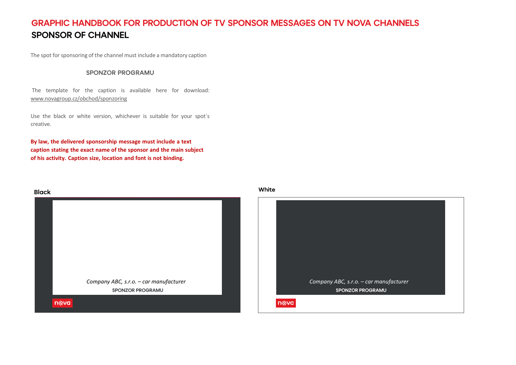# **GRAPHIC HANDBOOK FOR PRODUCTION OF TV SPONSOR MESSAGES ON TV NOVA CHANNELS SPONSOR OF CHANNEL**

The spot for sponsoring of the channel must include a mandatory caption

### **SPONZOR PROGRAMU**

The template for the caption is available here for download: [www.novagroup.cz/obchod/sponzoring](http://www.novagroup.cz/obchod/sponzoring)

Use the black or white version, whichever is suitable for your spot´s creative.

**By law, the delivered sponsorship message must include a text caption stating the exact name of the sponsor and the main subject of his activity. Caption size, location and font is not binding.**



White